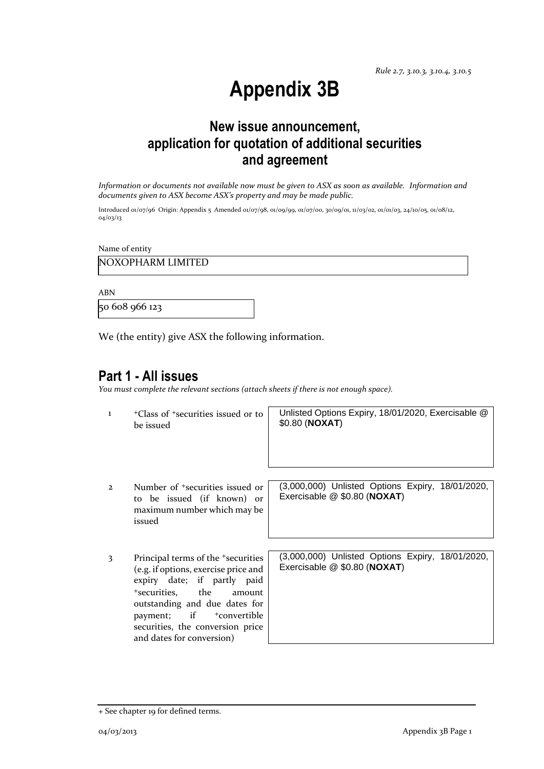# **Appendix 3B**

# **New issue announcement, application for quotation of additional securities and agreement**

*Information or documents not available now must be given to ASX as soon as available. Information and documents given to ASX become ASX's property and may be made public.*

Introduced 01/07/96 Origin: Appendix 5 Amended 01/07/98, 01/09/99, 01/07/00, 30/09/01, 11/03/02, 01/01/03, 24/10/05, 01/08/12, 04/03/13

Name of entity

NOXOPHARM LIMITED

ABN

50 608 966 123

We (the entity) give ASX the following information.

### **Part 1 - All issues**

*You must complete the relevant sections (attach sheets if there is not enough space).*

| $\mathbf{1}$ | <sup>+</sup> Class of <sup>+</sup> securities issued or to<br>be issued                                                                                                                                                                                                                          | Unlisted Options Expiry, 18/01/2020, Exercisable @<br>\$0.80 (NOXAT)             |
|--------------|--------------------------------------------------------------------------------------------------------------------------------------------------------------------------------------------------------------------------------------------------------------------------------------------------|----------------------------------------------------------------------------------|
| $\mathbf{z}$ | Number of <sup>+</sup> securities issued or<br>to be issued (if known) or<br>maximum number which may be<br>issued                                                                                                                                                                               | (3,000,000) Unlisted Options Expiry, 18/01/2020,<br>Exercisable @ \$0.80 (NOXAT) |
| 3            | Principal terms of the <sup>+</sup> securities<br>(e.g. if options, exercise price and<br>expiry date; if partly paid<br>*securities. the<br>amount<br>outstanding and due dates for<br>payment; if<br><sup>+</sup> convertible<br>securities, the conversion price<br>and dates for conversion) | (3,000,000) Unlisted Options Expiry, 18/01/2020,<br>Exercisable @ \$0.80 (NOXAT) |

<sup>+</sup> See chapter 19 for defined terms.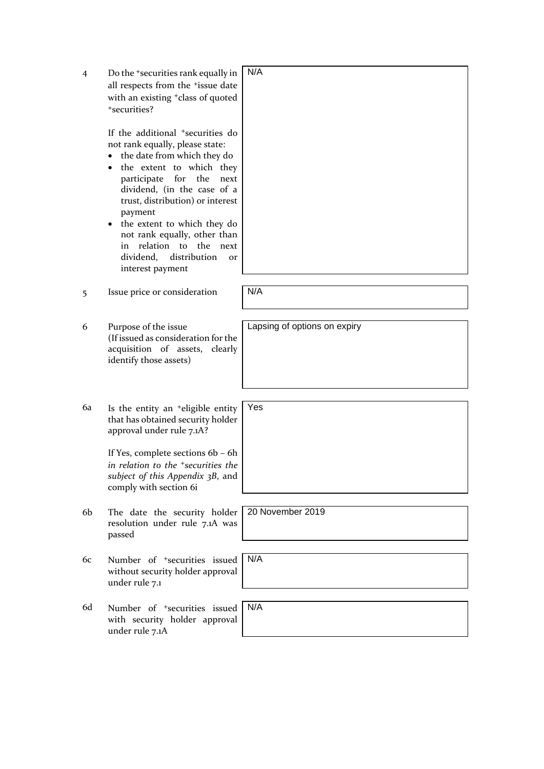| $\overline{4}$ | Do the <sup>+</sup> securities rank equally in<br>all respects from the <sup>+</sup> issue date<br>with an existing <sup>+</sup> class of quoted<br>+securities?<br>If the additional <sup>+</sup> securities do<br>not rank equally, please state:<br>the date from which they do<br>the extent to which they<br>for<br>participate<br>the<br>next<br>dividend, (in the case of a<br>trust, distribution) or interest<br>payment<br>the extent to which they do<br>٠<br>not rank equally, other than<br>relation to<br>the<br>in<br>next<br>distribution<br>dividend,<br><b>Or</b><br>interest payment | N/A                          |
|----------------|---------------------------------------------------------------------------------------------------------------------------------------------------------------------------------------------------------------------------------------------------------------------------------------------------------------------------------------------------------------------------------------------------------------------------------------------------------------------------------------------------------------------------------------------------------------------------------------------------------|------------------------------|
| 5              | Issue price or consideration                                                                                                                                                                                                                                                                                                                                                                                                                                                                                                                                                                            | N/A                          |
| 6              | Purpose of the issue<br>(If issued as consideration for the<br>acquisition of assets,<br>clearly<br>identify those assets)                                                                                                                                                                                                                                                                                                                                                                                                                                                                              | Lapsing of options on expiry |
| 6a             | Is the entity an <sup>+</sup> eligible entity<br>that has obtained security holder<br>approval under rule 7.1A?<br>If Yes, complete sections 6b - 6h<br>in relation to the <sup>+</sup> securities the<br>subject of this Appendix 3B, and<br>comply with section 6i                                                                                                                                                                                                                                                                                                                                    | Yes                          |
| 6b             | The date the security holder<br>resolution under rule 7.1A was<br>passed                                                                                                                                                                                                                                                                                                                                                                                                                                                                                                                                | 20 November 2019             |
| 6c             | Number of <sup>+</sup> securities issued<br>without security holder approval<br>under rule 7.1                                                                                                                                                                                                                                                                                                                                                                                                                                                                                                          | N/A                          |
| 6d             | Number of <sup>+</sup> securities issued<br>with security holder approval<br>under rule 7.1A                                                                                                                                                                                                                                                                                                                                                                                                                                                                                                            | N/A                          |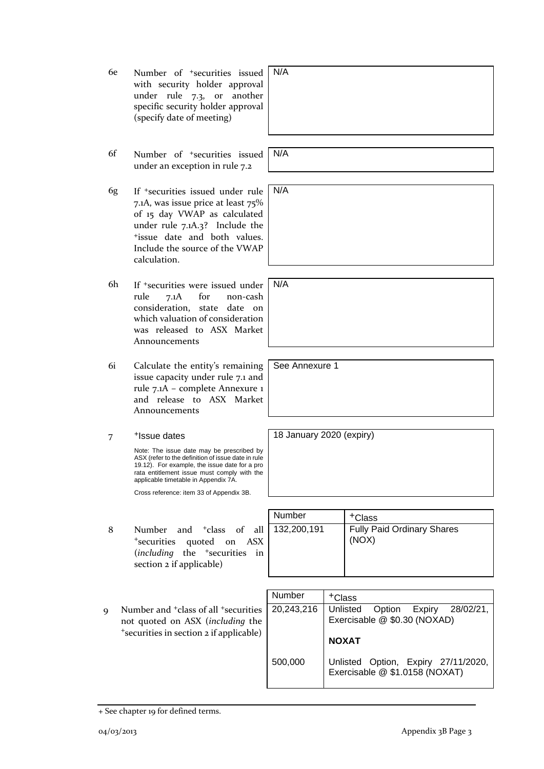| 6e | Number of <sup>+</sup> securities issued<br>with security holder approval<br>under rule 7.3, or<br>another<br>specific security holder approval<br>(specify date of meeting)                                                                                                        | N/A                      |        |                                                                                           |
|----|-------------------------------------------------------------------------------------------------------------------------------------------------------------------------------------------------------------------------------------------------------------------------------------|--------------------------|--------|-------------------------------------------------------------------------------------------|
|    |                                                                                                                                                                                                                                                                                     |                          |        |                                                                                           |
| 6f | Number of <sup>+</sup> securities issued<br>under an exception in rule 7.2                                                                                                                                                                                                          | N/A                      |        |                                                                                           |
| 6g | If <sup>+</sup> securities issued under rule<br>7.1A, was issue price at least 75%<br>of 15 day VWAP as calculated<br>under rule 7.1A.3? Include the<br><sup>+</sup> issue date and both values.<br>Include the source of the VWAP<br>calculation.                                  | N/A                      |        |                                                                                           |
| 6h | If <sup>+</sup> securities were issued under<br>for<br>rule<br>7.1A<br>non-cash<br>consideration, state<br>date on<br>which valuation of consideration<br>was released to ASX Market<br>Announcements                                                                               | N/A                      |        |                                                                                           |
| 6i | Calculate the entity's remaining<br>issue capacity under rule 7.1 and<br>rule 7.1A - complete Annexure 1<br>and release to ASX Market<br>Announcements                                                                                                                              | See Annexure 1           |        |                                                                                           |
|    | <sup>+</sup> Issue dates                                                                                                                                                                                                                                                            | 18 January 2020 (expiry) |        |                                                                                           |
| 7  | Note: The issue date may be prescribed by<br>ASX (refer to the definition of issue date in rule<br>19.12). For example, the issue date for a pro<br>rata entitlement issue must comply with the<br>applicable timetable in Appendix 7A.<br>Cross reference: item 33 of Appendix 3B. |                          |        |                                                                                           |
|    |                                                                                                                                                                                                                                                                                     |                          |        |                                                                                           |
|    |                                                                                                                                                                                                                                                                                     | Number                   |        | <sup>+</sup> Class                                                                        |
| 8  | Number<br>and <sup>+</sup> class<br>of<br>all<br><sup>+</sup> securities<br>quoted<br><b>ASX</b><br>on<br>(including the <sup>+</sup> securities in<br>section 2 if applicable)                                                                                                     | 132,200,191              |        | <b>Fully Paid Ordinary Shares</b><br>(NOX)                                                |
|    |                                                                                                                                                                                                                                                                                     |                          |        |                                                                                           |
|    |                                                                                                                                                                                                                                                                                     | Number                   | +Class |                                                                                           |
| 9  | Number and <sup>+</sup> class of all <sup>+</sup> securities<br>not quoted on ASX (including the<br>*securities in section 2 if applicable)                                                                                                                                         | 20,243,216               |        | Option<br>Expiry<br>28/02/21,<br>Unlisted<br>Exercisable @ \$0.30 (NOXAD)<br><b>NOXAT</b> |
|    |                                                                                                                                                                                                                                                                                     | 500,000                  |        | Unlisted Option, Expiry 27/11/2020,<br>Exercisable @ \$1.0158 (NOXAT)                     |
|    |                                                                                                                                                                                                                                                                                     |                          |        |                                                                                           |

<sup>+</sup> See chapter 19 for defined terms.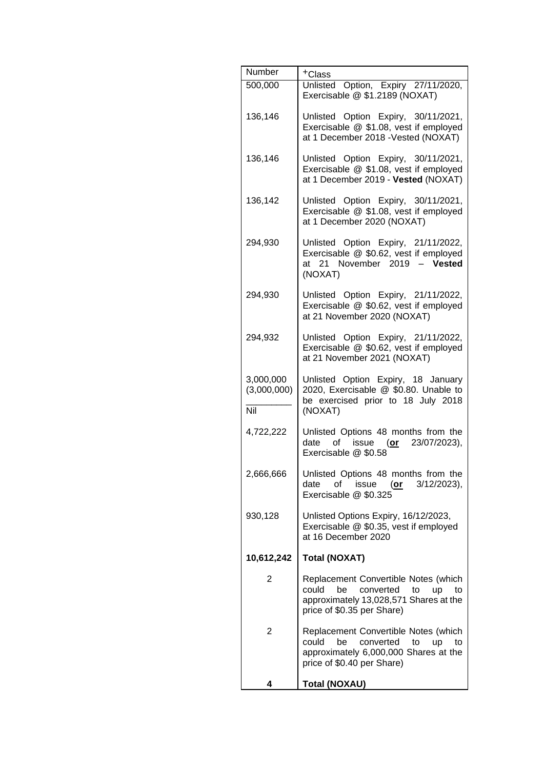| Number                          | +Class                                                                                                                                                     |
|---------------------------------|------------------------------------------------------------------------------------------------------------------------------------------------------------|
| 500,000                         | Unlisted Option, Expiry 27/11/2020,<br>Exercisable @ \$1.2189 (NOXAT)                                                                                      |
| 136,146                         | Unlisted Option Expiry, 30/11/2021,<br>Exercisable @ \$1.08, vest if employed<br>at 1 December 2018 - Vested (NOXAT)                                       |
| 136,146                         | Unlisted Option Expiry, 30/11/2021,<br>Exercisable @ \$1.08, vest if employed<br>at 1 December 2019 - Vested (NOXAT)                                       |
| 136,142                         | Unlisted Option Expiry, 30/11/2021,<br>Exercisable @ \$1.08, vest if employed<br>at 1 December 2020 (NOXAT)                                                |
| 294,930                         | Unlisted Option Expiry, 21/11/2022,<br>Exercisable @ \$0.62, vest if employed<br>at 21 November 2019 - Vested<br>(NOXAT)                                   |
| 294,930                         | Unlisted Option Expiry, 21/11/2022,<br>Exercisable @ \$0.62, vest if employed<br>at 21 November 2020 (NOXAT)                                               |
| 294,932                         | Unlisted Option Expiry, 21/11/2022,<br>Exercisable @ \$0.62, vest if employed<br>at 21 November 2021 (NOXAT)                                               |
| 3,000,000<br>(3,000,000)<br>Nil | Unlisted Option Expiry, 18 January<br>2020, Exercisable @ \$0.80. Unable to<br>be exercised prior to 18 July 2018<br>(NOXAT)                               |
| 4,722,222                       | Unlisted Options 48 months from the<br>of issue (or 23/07/2023),<br>date<br>Exercisable @ \$0.58                                                           |
| 2,666,666                       | Unlisted Options 48 months from the<br>issue<br>$3/12/2023$ ,<br>date<br>of<br>(or<br>Exercisable @ \$0.325                                                |
| 930,128                         | Unlisted Options Expiry, 16/12/2023,<br>Exercisable @ \$0.35, vest if employed<br>at 16 December 2020                                                      |
| 10,612,242                      | <b>Total (NOXAT)</b>                                                                                                                                       |
| 2                               | Replacement Convertible Notes (which<br>could<br>be<br>converted<br>to<br>up<br>to<br>approximately 13,028,571 Shares at the<br>price of \$0.35 per Share) |
| 2                               | Replacement Convertible Notes (which<br>converted<br>could<br>be<br>to<br>up<br>to<br>approximately 6,000,000 Shares at the<br>price of \$0.40 per Share)  |
| 4                               | <b>Total (NOXAU)</b>                                                                                                                                       |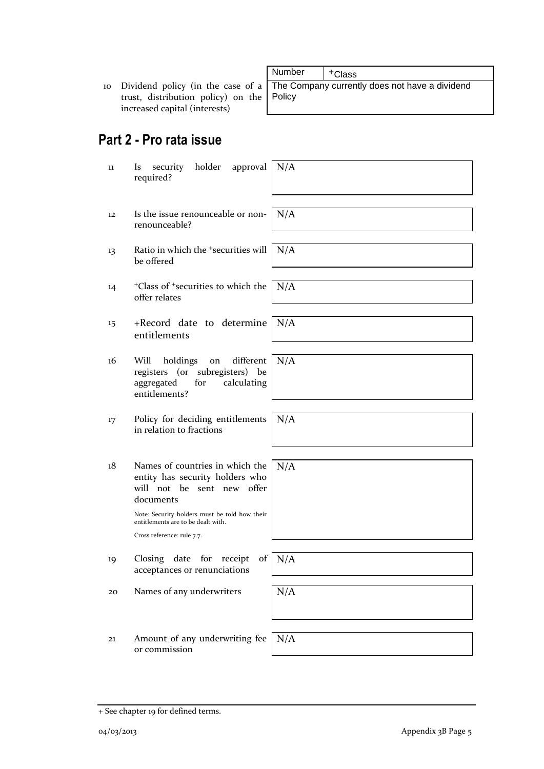+ See chapter 19 for defined terms.

10 Dividend policy (in the case of a trust, distribution policy) on the increased capital (interests)

# **Part 2 - Pro rata issue**

- 11 Is security holder approval required?
- 12 Is the issue renounceable or nonrenounceable?
- 13 Ratio in which the <sup>+</sup>securities will be offered
- 14 <sup>+</sup>Class of <sup>+</sup>securities to which the offer relates
- 15 +Record date to determine entitlements
- 16 Will holdings on different registers (or subregisters) be aggregated for calculating entitlements?
- 17 Policy for deciding entitlements in relation to fractions
- 18 Names of countries in which the entity has security holders who will not be sent new offer documents

Note: Security holders must be told how their entitlements are to be dealt with. Cross reference: rule 7.7.

- 19 Closing date for receipt of acceptances or renunciations
- 20 Names of any underwriters  $N/A$
- 21 Amount of any underwriting fee or commission

Number | +Class The Company currently does not have a dividend Policy

N/A N/A N/A N/A

N/A

N/A

N/A

N/A

N/A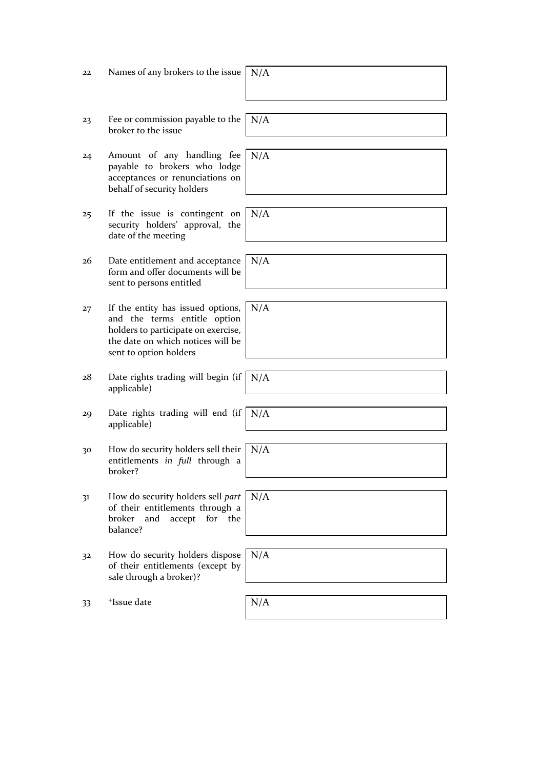| Names of any brokers to the issue $ N/A$ | 22 |  |
|------------------------------------------|----|--|
|------------------------------------------|----|--|

- 23 Fee or commission payable to the broker to the issue
- 24 Amount of any handling fee payable to brokers who lodge acceptances or renunciations on behalf of security holders
- 25 If the issue is contingent on security holders' approval, the date of the meeting
- 26 Date entitlement and acceptance form and offer documents will be sent to persons entitled
- 27 If the entity has issued options, and the terms entitle option holders to participate on exercise, the date on which notices will be sent to option holders
- $28$  Date rights trading will begin (if applicable)
- 29 Date rights trading will end (if applicable)
- 30 How do security holders sell their entitlements *in full* through a broker?
- 31 How do security holders sell *part* of their entitlements through a broker and accept for the balance?
- 32 How do security holders dispose of their entitlements (except by sale through a broker)?

33 <sup>+</sup>Issue date

N/A

N/A

N/A

N/A

N/A

N/A

N/A

N/A

N/A

| λ<br>$11 + 1$ |  |  |  |
|---------------|--|--|--|
|               |  |  |  |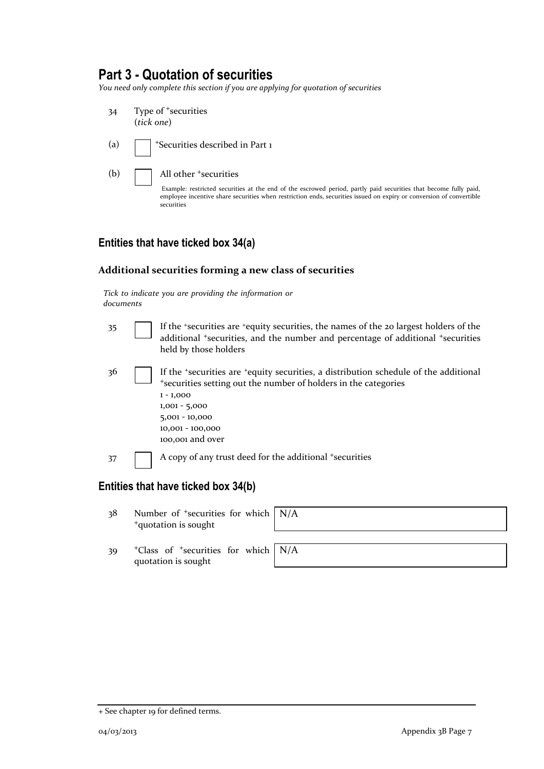### **Part 3 - Quotation of securities**

*You need only complete this section if you are applying for quotation of securities*

34 Type of <sup>+</sup>securities (*tick one*) (a)  $\sqrt{\phantom{a}}$  +Securities described in Part 1 (b) **All other +securities** Example: restricted securities at the end of the escrowed period, partly paid securities that become fully paid, employee incentive share securities when restriction ends, securities issued on expiry or conversion of convertible securities

#### **Entities that have ticked box 34(a)**

#### **Additional securities forming a new class of securities**

*Tick to indicate you are providing the information or documents*

| 35  | If the 'securities are 'equity securities, the names of the 20 largest holders of the<br>additional <sup>+</sup> securities, and the number and percentage of additional <sup>+</sup> securities<br>held by those holders                           |
|-----|-----------------------------------------------------------------------------------------------------------------------------------------------------------------------------------------------------------------------------------------------------|
| -36 | If the 'securities are 'equity securities, a distribution schedule of the additional<br>*securities setting out the number of holders in the categories<br>$1 - 1,000$<br>$1,001 - 5,000$<br>5,001 - 10,000<br>10,001 - 100,000<br>100,001 and over |
| 37  | A copy of any trust deed for the additional +securities                                                                                                                                                                                             |
|     | ntitine that have tieked hav 21/h)                                                                                                                                                                                                                  |

#### **Entities that have ticked box 34(b)**

38 Number of <sup>+</sup>securities for which <sup>+</sup>quotation is sought

N/A

39 <sup>+</sup>Class of <sup>+</sup>securities for which quotation is sought

<sup>+</sup> See chapter 19 for defined terms.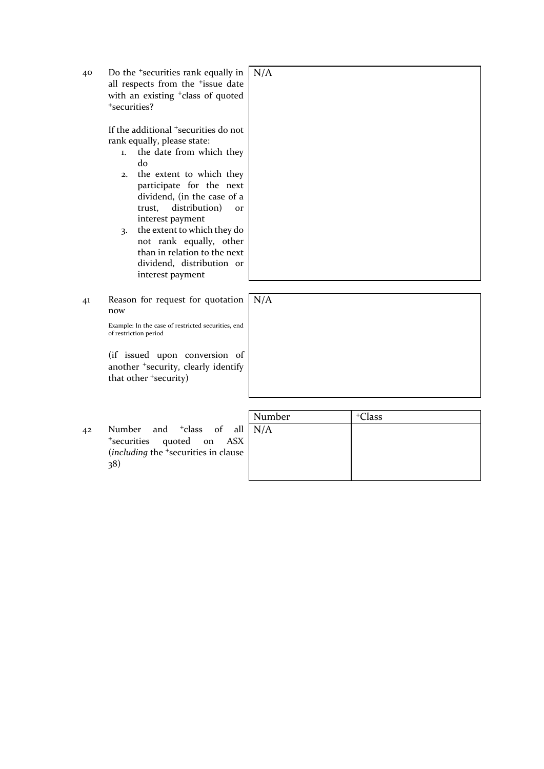40 Do the <sup>+</sup>securities rank equally in all respects from the <sup>+</sup>issue date with an existing <sup>+</sup>class of quoted <sup>+</sup>securities?

> If the additional <sup>+</sup>securities do not rank equally, please state:

- 1. the date from which they do
- 2. the extent to which they participate for the next dividend, (in the case of a trust, distribution) or interest payment
- 3. the extent to which they do not rank equally, other than in relation to the next dividend, distribution or interest payment
- 41 Reason for request for quotation now

Example: In the case of restricted securities, end of restriction period

(if issued upon conversion of another <sup>+</sup>security, clearly identify that other <sup>+</sup>security)

42 Number and <sup>+</sup>class of all <sup>+</sup>securities quoted on ASX (*including* the <sup>+</sup>securities in clause 38)

Number | +Class N/A

N/A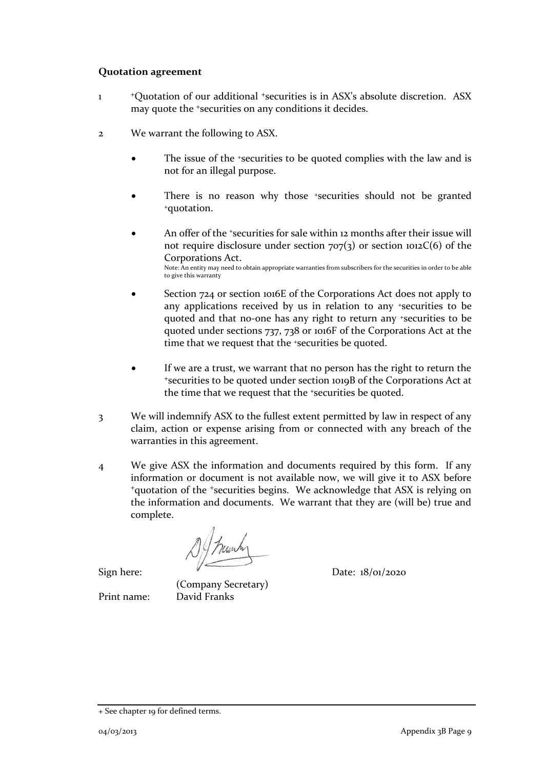#### **Quotation agreement**

- 1 <sup>+</sup>Quotation of our additional <sup>+</sup>securities is in ASX's absolute discretion. ASX may quote the <sup>+</sup>securities on any conditions it decides.
- 2 We warrant the following to ASX.
	- The issue of the +securities to be quoted complies with the law and is not for an illegal purpose.
	- There is no reason why those +securities should not be granted <sup>+</sup>quotation.
	- An offer of the *\*securities* for sale within 12 months after their issue will not require disclosure under section  $707(3)$  or section  $1012C(6)$  of the Corporations Act. Note: An entity may need to obtain appropriate warranties from subscribers for the securities in order to be able to give this warranty
	- Section 724 or section 1016E of the Corporations Act does not apply to any applications received by us in relation to any +securities to be quoted and that no-one has any right to return any +securities to be quoted under sections 737, 738 or 1016F of the Corporations Act at the time that we request that the <sup>+</sup>securities be quoted.
	- If we are a trust, we warrant that no person has the right to return the <sup>+</sup>securities to be quoted under section 1019B of the Corporations Act at the time that we request that the +securities be quoted.
- 3 We will indemnify ASX to the fullest extent permitted by law in respect of any claim, action or expense arising from or connected with any breach of the warranties in this agreement.
- 4 We give ASX the information and documents required by this form. If any information or document is not available now, we will give it to ASX before <sup>+</sup>quotation of the <sup>+</sup>securities begins. We acknowledge that ASX is relying on the information and documents. We warrant that they are (will be) true and complete.

1) / hunhy

(Company Secretary) Print name: David Franks

Sign here:  $V$  Date:  $18/01/2020$ 

<sup>+</sup> See chapter 19 for defined terms.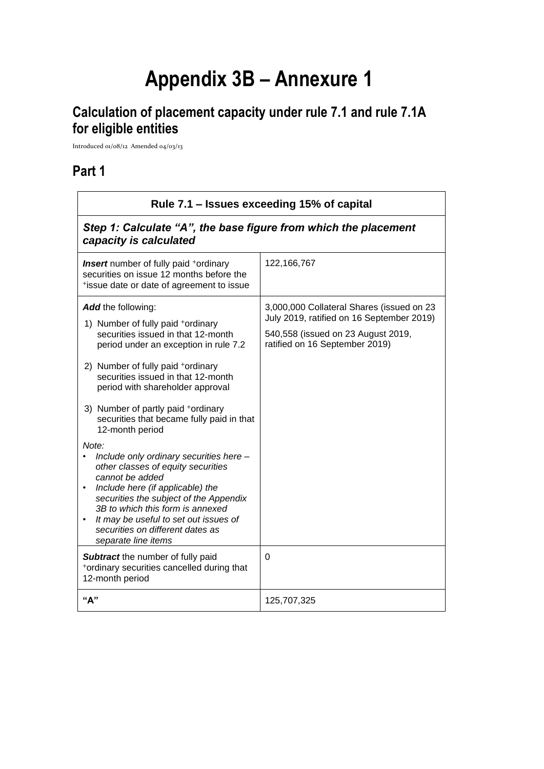# **Appendix 3B – Annexure 1**

# **Calculation of placement capacity under rule 7.1 and rule 7.1A for eligible entities**

Introduced 01/08/12 Amended 04/03/13

# **Part 1**

| Rule 7.1 – Issues exceeding 15% of capital                                                                                                                                                                                                                                                                                                                                                                                                                                                                                                                                                                                                                                                                                                                                                                                                         |                                                                                                                                                                     |  |  |  |
|----------------------------------------------------------------------------------------------------------------------------------------------------------------------------------------------------------------------------------------------------------------------------------------------------------------------------------------------------------------------------------------------------------------------------------------------------------------------------------------------------------------------------------------------------------------------------------------------------------------------------------------------------------------------------------------------------------------------------------------------------------------------------------------------------------------------------------------------------|---------------------------------------------------------------------------------------------------------------------------------------------------------------------|--|--|--|
| Step 1: Calculate "A", the base figure from which the placement<br>capacity is calculated                                                                                                                                                                                                                                                                                                                                                                                                                                                                                                                                                                                                                                                                                                                                                          |                                                                                                                                                                     |  |  |  |
| <b>Insert</b> number of fully paid <sup>+</sup> ordinary<br>securities on issue 12 months before the<br>*issue date or date of agreement to issue                                                                                                                                                                                                                                                                                                                                                                                                                                                                                                                                                                                                                                                                                                  | 122, 166, 767                                                                                                                                                       |  |  |  |
| <b>Add</b> the following:<br>1) Number of fully paid +ordinary<br>securities issued in that 12-month<br>period under an exception in rule 7.2<br>2) Number of fully paid +ordinary<br>securities issued in that 12-month<br>period with shareholder approval<br>3) Number of partly paid +ordinary<br>securities that became fully paid in that<br>12-month period<br>Note:<br>Include only ordinary securities here -<br>$\bullet$<br>other classes of equity securities<br>cannot be added<br>Include here (if applicable) the<br>$\bullet$<br>securities the subject of the Appendix<br>3B to which this form is annexed<br>It may be useful to set out issues of<br>$\bullet$<br>securities on different dates as<br>separate line items<br>Subtract the number of fully paid<br>*ordinary securities cancelled during that<br>12-month period | 3,000,000 Collateral Shares (issued on 23<br>July 2019, ratified on 16 September 2019)<br>540,558 (issued on 23 August 2019,<br>ratified on 16 September 2019)<br>0 |  |  |  |
| "А"                                                                                                                                                                                                                                                                                                                                                                                                                                                                                                                                                                                                                                                                                                                                                                                                                                                | 125,707,325                                                                                                                                                         |  |  |  |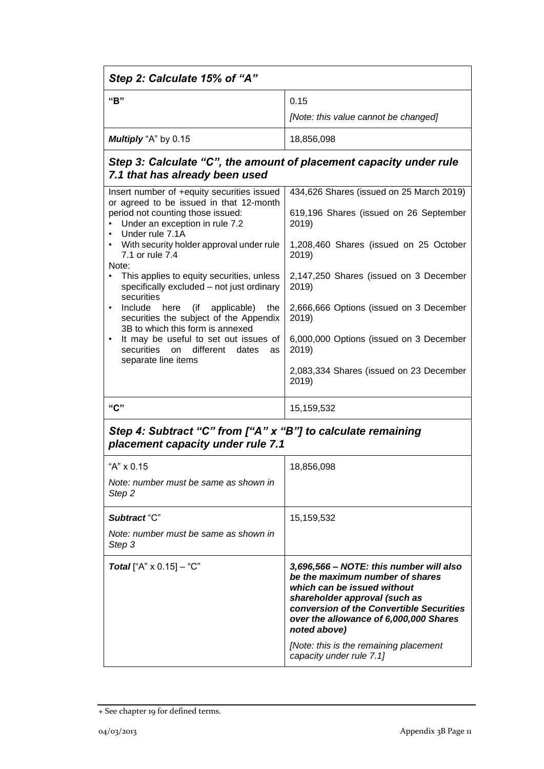| Step 2: Calculate 15% of "A"                                                                                                                                 |                                                                                                                                                                                                                                                  |  |
|--------------------------------------------------------------------------------------------------------------------------------------------------------------|--------------------------------------------------------------------------------------------------------------------------------------------------------------------------------------------------------------------------------------------------|--|
| "B"                                                                                                                                                          | 0.15                                                                                                                                                                                                                                             |  |
|                                                                                                                                                              | [Note: this value cannot be changed]                                                                                                                                                                                                             |  |
| Multiply "A" by 0.15                                                                                                                                         | 18,856,098                                                                                                                                                                                                                                       |  |
| 7.1 that has already been used                                                                                                                               | Step 3: Calculate "C", the amount of placement capacity under rule                                                                                                                                                                               |  |
| Insert number of +equity securities issued<br>or agreed to be issued in that 12-month<br>period not counting those issued:<br>Under an exception in rule 7.2 | 434,626 Shares (issued on 25 March 2019)<br>619,196 Shares (issued on 26 September<br>2019)                                                                                                                                                      |  |
| Under rule 7.1A<br>$\bullet$<br>With security holder approval under rule<br>$\bullet$<br>7.1 or rule 7.4<br>Note:                                            | 1,208,460 Shares (issued on 25 October<br>2019)                                                                                                                                                                                                  |  |
| This applies to equity securities, unless<br>$\bullet$<br>specifically excluded - not just ordinary<br>securities                                            | 2,147,250 Shares (issued on 3 December<br>2019)                                                                                                                                                                                                  |  |
| Include<br>here (if<br>applicable)<br>the<br>$\bullet$<br>securities the subject of the Appendix<br>3B to which this form is annexed                         | 2,666,666 Options (issued on 3 December<br>2019)                                                                                                                                                                                                 |  |
| It may be useful to set out issues of<br>$\bullet$<br>securities on different<br>dates<br>as<br>separate line items                                          | 6,000,000 Options (issued on 3 December<br>2019)                                                                                                                                                                                                 |  |
|                                                                                                                                                              | 2,083,334 Shares (issued on 23 December<br>2019)                                                                                                                                                                                                 |  |
| "C"                                                                                                                                                          | 15,159,532                                                                                                                                                                                                                                       |  |
| Step 4: Subtract "C" from ["A" x "B"] to calculate remaining<br>placement capacity under rule 7.1                                                            |                                                                                                                                                                                                                                                  |  |
| "A" x 0.15                                                                                                                                                   | 18,856,098                                                                                                                                                                                                                                       |  |
| Note: number must be same as shown in<br>Step 2                                                                                                              |                                                                                                                                                                                                                                                  |  |
| Subtract "C"                                                                                                                                                 | 15,159,532                                                                                                                                                                                                                                       |  |
| Note: number must be same as shown in<br>Step 3                                                                                                              |                                                                                                                                                                                                                                                  |  |
| <b>Total</b> ["A" $\times$ 0.15] – "C"                                                                                                                       | 3,696,566 - NOTE: this number will also<br>be the maximum number of shares<br>which can be issued without<br>shareholder approval (such as<br>conversion of the Convertible Securities<br>over the allowance of 6,000,000 Shares<br>noted above) |  |
|                                                                                                                                                              | [Note: this is the remaining placement<br>capacity under rule 7.1]                                                                                                                                                                               |  |

<sup>+</sup> See chapter 19 for defined terms.